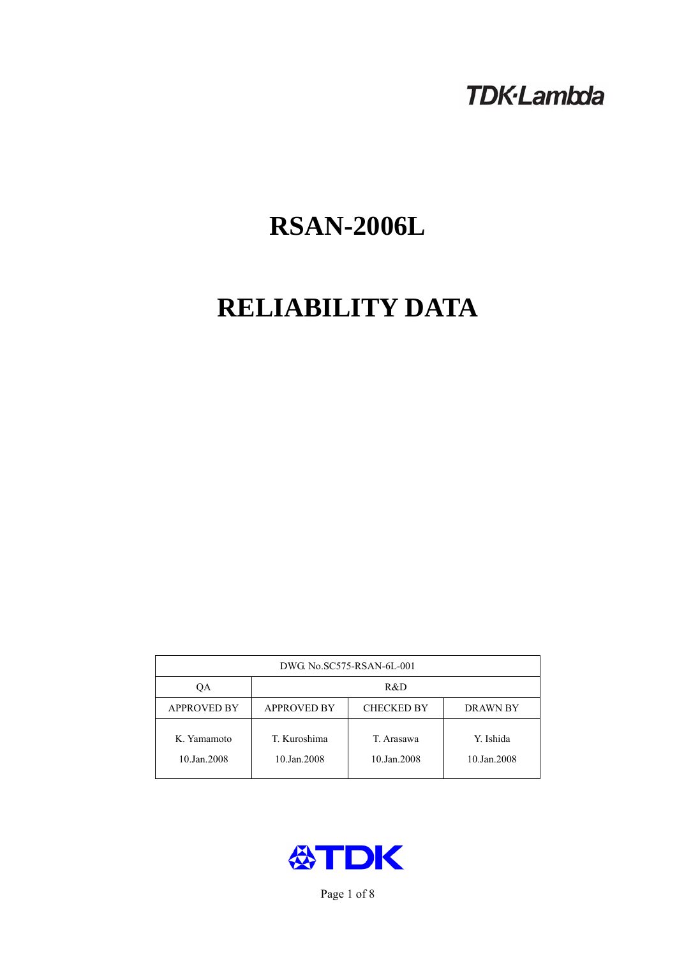# **TDK-Lambda**

# **RSAN-2006L**

# **RELIABILITY DATA**

| DWG No.SC575-RSAN-6L-001   |                                                     |                           |                          |  |  |
|----------------------------|-----------------------------------------------------|---------------------------|--------------------------|--|--|
| OА                         | R&D                                                 |                           |                          |  |  |
| <b>APPROVED BY</b>         | <b>APPROVED BY</b><br><b>CHECKED BY</b><br>DRAWN BY |                           |                          |  |  |
| K. Yamamoto<br>10.Jan.2008 | T. Kuroshima<br>10.Jan.2008                         | T. Arasawa<br>10.Jan.2008 | Y. Ishida<br>10.Jan.2008 |  |  |



Page 1 of 8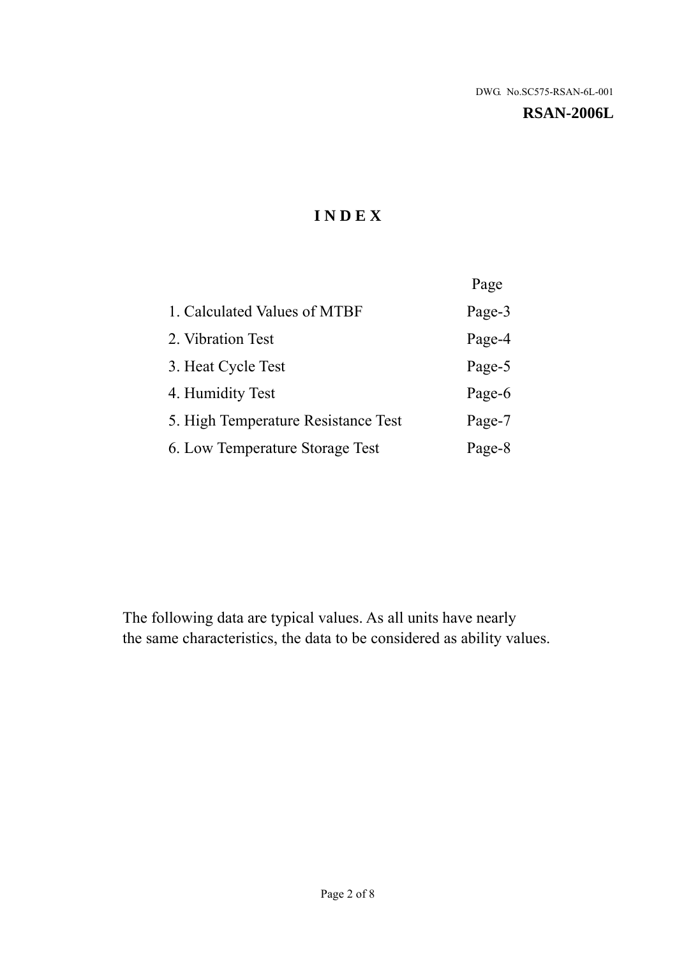#### **RSAN-2006L**

# **I N D E X**

|                                     | Page   |
|-------------------------------------|--------|
| 1. Calculated Values of MTBF        | Page-3 |
| 2. Vibration Test                   | Page-4 |
| 3. Heat Cycle Test                  | Page-5 |
| 4. Humidity Test                    | Page-6 |
| 5. High Temperature Resistance Test | Page-7 |
| 6. Low Temperature Storage Test     | Page-8 |

The following data are typical values. As all units have nearly the same characteristics, the data to be considered as ability values.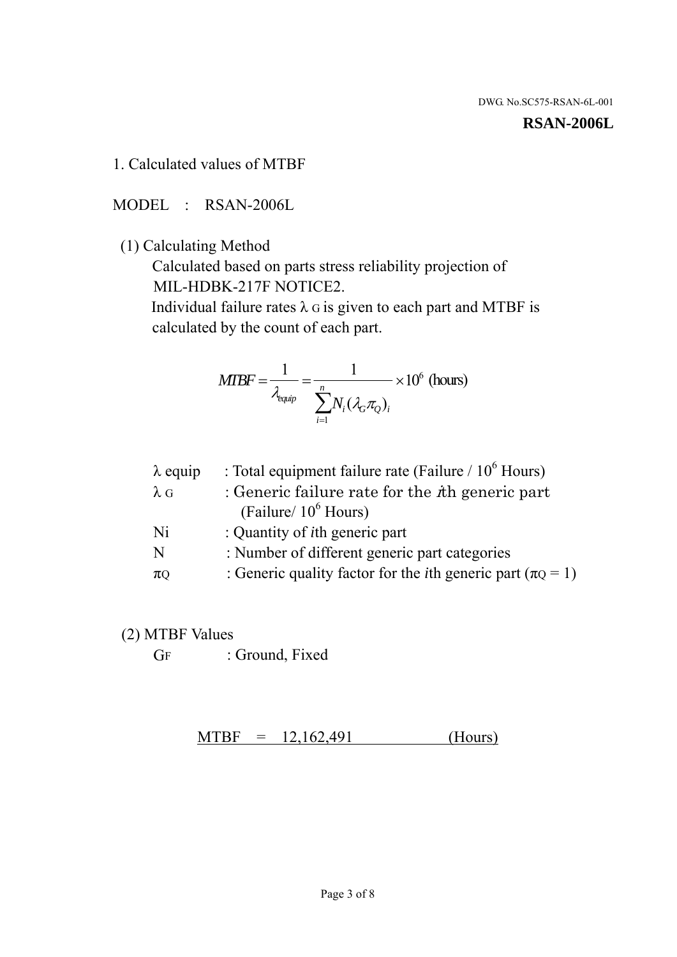#### **RSAN-2006L**

1. Calculated values of MTBF

MODEL : RSAN-2006L

(1) Calculating Method

 Calculated based on parts stress reliability projection of MIL-HDBK-217F NOTICE2.

Individual failure rates  $\lambda$  G is given to each part and MTBF is calculated by the count of each part.

$$
MIBF = \frac{1}{\lambda_{\text{equip}}} = \frac{1}{\sum_{i=1}^{n} N_i (\lambda_G \pi_Q)_i} \times 10^6 \text{ (hours)}
$$

| $\lambda$ equip | : Total equipment failure rate (Failure $/ 10^6$ Hours)                   |
|-----------------|---------------------------------------------------------------------------|
| $\lambda$ G     | : Generic failure rate for the $\hbar$ generic part                       |
|                 | (Failure/ $10^6$ Hours)                                                   |
| Ni              | : Quantity of <i>i</i> th generic part                                    |
| N               | : Number of different generic part categories                             |
| $\pi$ Q         | : Generic quality factor for the <i>i</i> th generic part ( $\pi Q = 1$ ) |

- (2) MTBF Values
	- GF : Ground, Fixed

 $MTBF = 12,162,491$  (Hours)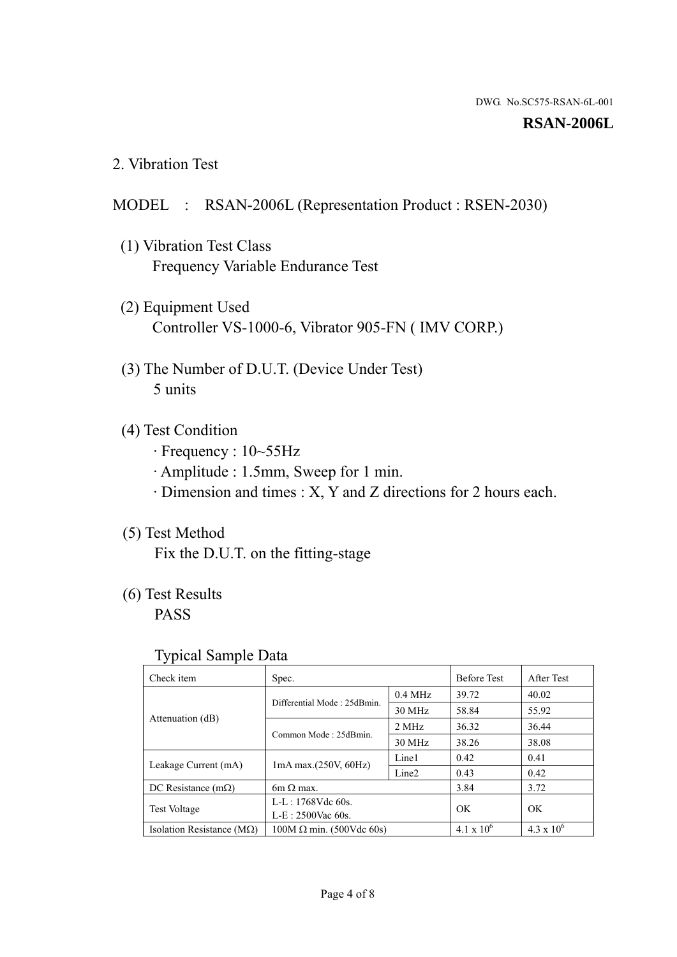#### **RSAN-2006L**

2. Vibration Test

#### MODEL : RSAN-2006L (Representation Product : RSEN-2030)

- (1) Vibration Test Class Frequency Variable Endurance Test
- (2) Equipment Used Controller VS-1000-6, Vibrator 905-FN ( IMV CORP.)
- (3) The Number of D.U.T. (Device Under Test) 5 units
- (4) Test Condition
	- · Frequency : 10~55Hz
	- · Amplitude : 1.5mm, Sweep for 1 min.
	- · Dimension and times : X, Y and Z directions for 2 hours each.

# (5) Test Method

Fix the D.U.T. on the fitting-stage

# (6) Test Results

PASS

#### Typical Sample Data

| . .                           |                                                         |           |                     |                     |
|-------------------------------|---------------------------------------------------------|-----------|---------------------|---------------------|
| Check item                    | Spec.                                                   |           | <b>Before Test</b>  | After Test          |
|                               | Differential Mode: 25dBmin.                             | $0.4$ MHz | 39.72               | 40.02               |
|                               |                                                         | 30 MHz    | 58.84               | 55.92               |
| Attenuation (dB)              | Common Mode: 25dBmin.                                   | 2 MHz     | 36.32               | 36.44               |
|                               |                                                         | 30 MHz    | 38.26               | 38.08               |
| Leakage Current (mA)          | Line1<br>$1mA$ max. $(250V, 60Hz)$<br>Line <sub>2</sub> |           | 0.42                | 0.41                |
|                               |                                                         |           | 0.43                | 0.42                |
| DC Resistance $(m\Omega)$     | $6m \Omega$ max.                                        |           | 3.84                | 3.72                |
| <b>Test Voltage</b>           | $L-L: 1768Vdc$ 60s.                                     |           | OK                  | OK.                 |
|                               | $L-E$ : 2500Vac 60s.                                    |           |                     |                     |
| Isolation Resistance ( $MQ$ ) | $100M \Omega$ min. (500Vdc 60s)                         |           | $4.1 \times 10^{6}$ | $4.3 \times 10^{6}$ |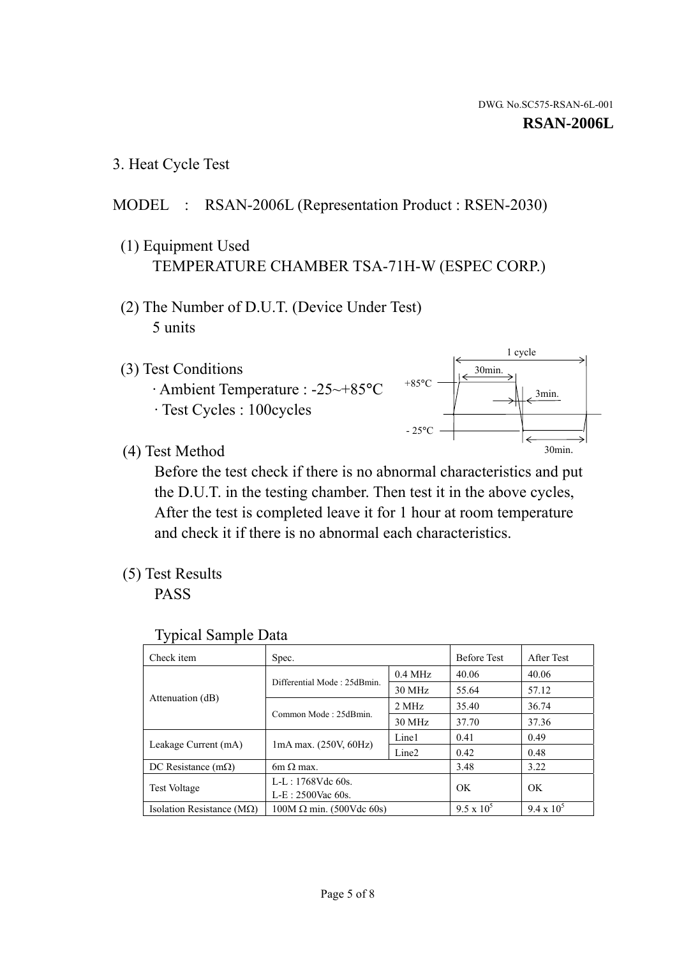3. Heat Cycle Test

# MODEL : RSAN-2006L (Representation Product : RSEN-2030)

- (1) Equipment Used TEMPERATURE CHAMBER TSA-71H-W (ESPEC CORP.)
- (2) The Number of D.U.T. (Device Under Test) 5 units
- (3) Test Conditions
	- · Ambient Temperature : -25~+85°C · Test Cycles : 100cycles



(4) Test Method

 Before the test check if there is no abnormal characteristics and put the D.U.T. in the testing chamber. Then test it in the above cycles, After the test is completed leave it for 1 hour at room temperature and check it if there is no abnormal each characteristics.

(5) Test Results

PASS

| <b>Typical Sample Data</b> |  |  |
|----------------------------|--|--|
|----------------------------|--|--|

| Check item                    | Spec.                           |                     | <b>Before Test</b> | After Test        |
|-------------------------------|---------------------------------|---------------------|--------------------|-------------------|
|                               | Differential Mode: 25dBmin.     | $0.4\ \mathrm{MHz}$ | 40.06              | 40.06             |
|                               |                                 | 30 MHz              | 55.64              | 57.12             |
| Attenuation (dB)              | Common Mode: 25dBmin.           | 2 MHz               | 35.40              | 36.74             |
|                               |                                 | 30 MHz              | 37.70              | 37.36             |
| Leakage Current (mA)          |                                 | Line1               | 0.41               | 0.49              |
|                               | $1mA$ max. $(250V, 60Hz)$       | Line <sub>2</sub>   | 0.42               | 0.48              |
| DC Resistance $(m\Omega)$     | $6m \Omega$ max.                |                     | 3.48               | 3.22              |
| <b>Test Voltage</b>           | L-L: 1768Vdc 60s.               |                     | OK                 | OK                |
|                               | $L-E: 2500$ Vac 60s.            |                     |                    |                   |
| Isolation Resistance ( $MQ$ ) | $100M \Omega$ min. (500Vdc 60s) |                     | $9.5 \times 10^5$  | $9.4 \times 10^5$ |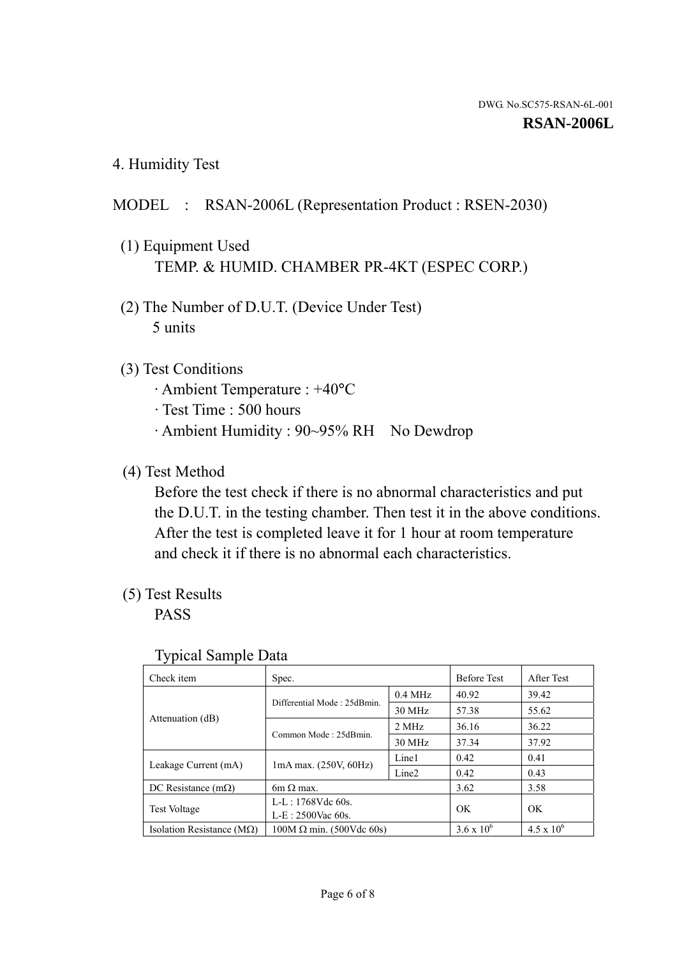4. Humidity Test

# MODEL : RSAN-2006L (Representation Product : RSEN-2030)

- (1) Equipment Used TEMP. & HUMID. CHAMBER PR-4KT (ESPEC CORP.)
- (2) The Number of D.U.T. (Device Under Test) 5 units

## (3) Test Conditions

- · Ambient Temperature : +40°C
- · Test Time : 500 hours
- · Ambient Humidity : 90~95% RH No Dewdrop

# (4) Test Method

 Before the test check if there is no abnormal characteristics and put the D.U.T. in the testing chamber. Then test it in the above conditions. After the test is completed leave it for 1 hour at room temperature and check it if there is no abnormal each characteristics.

## (5) Test Results

PASS

| ╯┸                            |                                 |                   |                     |                     |
|-------------------------------|---------------------------------|-------------------|---------------------|---------------------|
| Check item                    | Spec.                           |                   | <b>Before Test</b>  | After Test          |
|                               | Differential Mode: 25dBmin.     | $0.4$ MHz         | 40.92               | 39.42               |
|                               |                                 | 30 MHz            | 57.38               | 55.62               |
| Attenuation (dB)              | Common Mode: 25dBmin.           | 2 MHz             | 36.16               | 36.22               |
|                               |                                 | 30 MHz            | 37.34               | 37.92               |
| Leakage Current (mA)          | $1mA$ max. $(250V, 60Hz)$       | Line1             | 0.42                | 0.41                |
|                               |                                 | Line <sub>2</sub> | 0.42                | 0.43                |
| DC Resistance $(m\Omega)$     | $6m \Omega$ max.                |                   | 3.62                | 3.58                |
| <b>Test Voltage</b>           | L-L: 1768Vdc 60s.               |                   | OK                  | OK                  |
|                               | $L-E: 2500$ Vac 60s.            |                   |                     |                     |
| Isolation Resistance ( $MQ$ ) | $100M \Omega$ min. (500Vdc 60s) |                   | $3.6 \times 10^{6}$ | $4.5 \times 10^{6}$ |

#### Typical Sample Data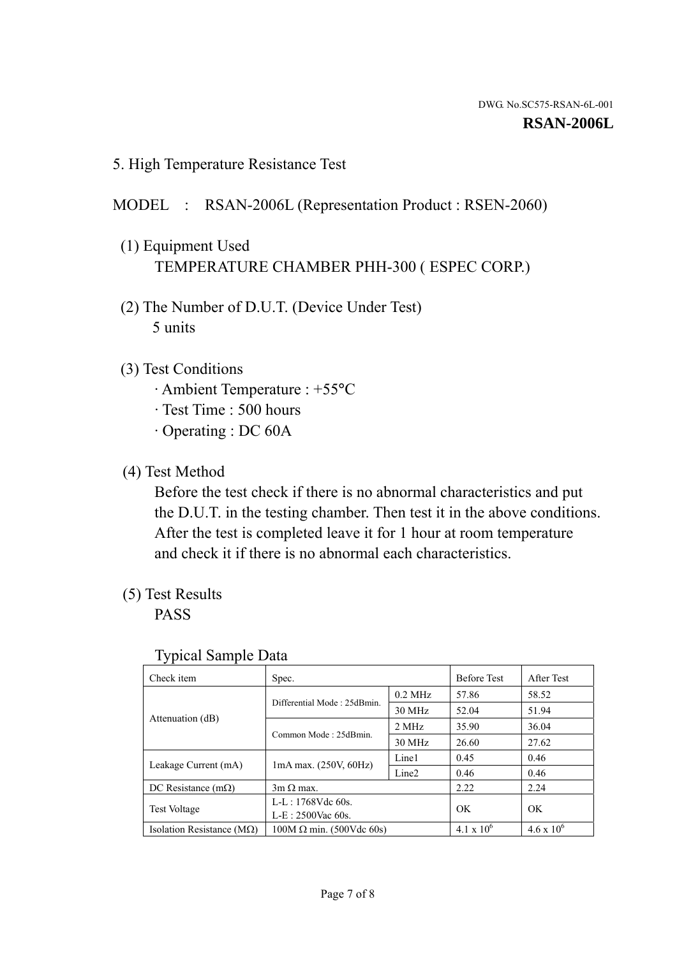5. High Temperature Resistance Test

### MODEL : RSAN-2006L (Representation Product : RSEN-2060)

- (1) Equipment Used TEMPERATURE CHAMBER PHH-300 ( ESPEC CORP.)
- (2) The Number of D.U.T. (Device Under Test) 5 units
- (3) Test Conditions
	- · Ambient Temperature : +55°C
	- · Test Time : 500 hours
	- · Operating : DC 60A
- (4) Test Method

 Before the test check if there is no abnormal characteristics and put the D.U.T. in the testing chamber. Then test it in the above conditions. After the test is completed leave it for 1 hour at room temperature and check it if there is no abnormal each characteristics.

(5) Test Results

PASS

| ╯┸                                 |                                                         |           |                     |                     |
|------------------------------------|---------------------------------------------------------|-----------|---------------------|---------------------|
| Check item                         | Spec.                                                   |           | <b>Before Test</b>  | After Test          |
|                                    | Differential Mode: 25dBmin.                             | $0.2$ MHz | 57.86               | 58.52               |
|                                    |                                                         | 30 MHz    | 52.04               | 51.94               |
| Attenuation (dB)                   | Common Mode: 25dBmin.                                   | 2 MHz     | 35.90               | 36.04               |
|                                    |                                                         | 30 MHz    | 26.60               | 27.62               |
| Leakage Current (mA)               | Line1<br>$1mA$ max. $(250V, 60Hz)$<br>Line <sub>2</sub> |           | 0.45                | 0.46                |
|                                    |                                                         |           | 0.46                | 0.46                |
| DC Resistance $(m\Omega)$          | $3m \Omega$ max.                                        |           | 2.22                | 2.24                |
| <b>Test Voltage</b>                | $L-L: 1768Vdc$ 60s.                                     |           | OK                  | OK                  |
|                                    | $L-E: 2500$ Vac 60s.                                    |           |                     |                     |
| Isolation Resistance ( $M\Omega$ ) | $100M \Omega$ min. (500Vdc 60s)                         |           | $4.1 \times 10^{6}$ | $4.6 \times 10^{6}$ |

#### Typical Sample Data